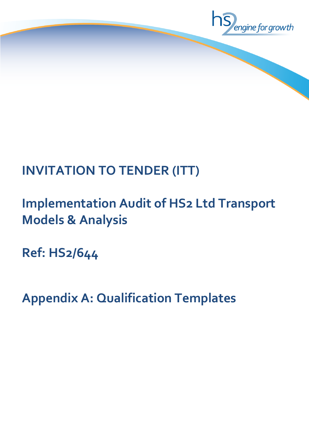

# **INVITATION TO TENDER (ITT)**

## **Implementation Audit of HS2 Ltd Transport Models & Analysis**

**Ref: HS2/644**

**Appendix A: Qualification Templates**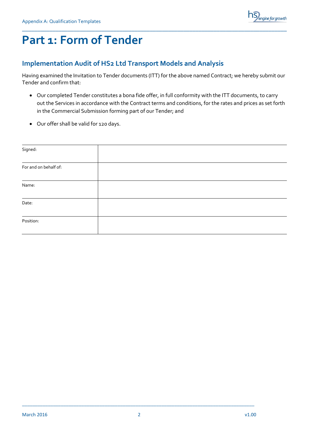

### **Part 1: Form of Tender**

#### **Implementation Audit of HS2 Ltd Transport Models and Analysis**

Having examined the Invitation to Tender documents (ITT) for the above named Contract; we hereby submit our Tender and confirm that:

\_\_\_\_\_\_\_\_\_\_\_\_\_\_\_\_\_\_\_\_\_\_\_\_\_\_\_\_\_\_\_\_\_\_\_\_\_\_\_\_\_\_\_\_\_\_\_\_\_\_\_\_\_\_\_\_\_\_\_\_\_\_\_\_\_\_\_\_\_\_\_\_\_\_\_\_\_\_\_\_\_\_\_\_\_\_\_

- Our completed Tender constitutes a bona fide offer, in full conformity with the ITT documents, to carry out the Services in accordance with the Contract terms and conditions, for the rates and prices as set forth in the Commercial Submission forming part of our Tender; and
- Our offer shall be valid for 120 days.

| Signed:               |  |
|-----------------------|--|
| For and on behalf of: |  |
| Name:                 |  |
| Date:                 |  |
| Position:             |  |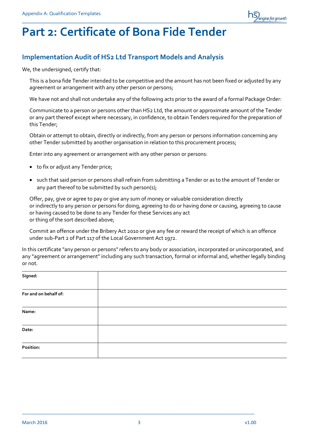

### **Part 2: Certificate of Bona Fide Tender**

#### **Implementation Audit of HS2 Ltd Transport Models and Analysis**

We, the undersigned, certify that:

This is a bona fide Tender intended to be competitive and the amount has not been fixed or adjusted by any agreement or arrangement with any other person or persons;

We have not and shall not undertake any of the following acts prior to the award of a formal Package Order:

Communicate to a person or persons other than HS2 Ltd, the amount or approximate amount of the Tender or any part thereof except where necessary, in confidence, to obtain Tenders required for the preparation of this Tender;

Obtain or attempt to obtain, directly or indirectly, from any person or persons information concerning any other Tender submitted by another organisation in relation to this procurement process;

Enter into any agreement or arrangement with any other person or persons:

- to fix or adjust any Tender price;
- such that said person or persons shall refrain from submitting a Tender or as to the amount of Tender or any part thereof to be submitted by such person(s);

Offer, pay, give or agree to pay or give any sum of money or valuable consideration directly or indirectly to any person or persons for doing, agreeing to do or having done or causing, agreeing to cause or having caused to be done to any Tender for these Services any act or thing of the sort described above;

Commit an offence under the Bribery Act 2010 or give any fee or reward the receipt of which is an offence under sub-Part 2 of Part 117 of the Local Government Act 1972.

In this certificate "any person or persons" refers to any body or association, incorporated or unincorporated, and any "agreement or arrangement" including any such transaction, formal or informal and, whether legally binding or not.

| Signed:               |  |
|-----------------------|--|
| For and on behalf of: |  |
| Name:                 |  |
| Date:                 |  |
| Position:             |  |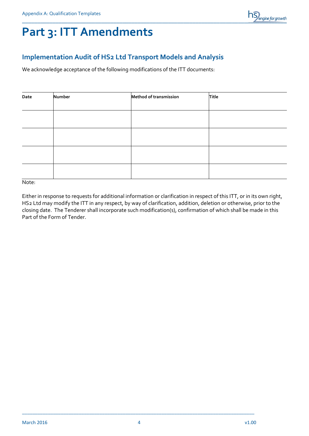

### **Part 3: ITT Amendments**

#### **Implementation Audit of HS2 Ltd Transport Models and Analysis**

We acknowledge acceptance of the following modifications of the ITT documents:

| Date | Number | Method of transmission | Title |
|------|--------|------------------------|-------|
|      |        |                        |       |
|      |        |                        |       |
|      |        |                        |       |
|      |        |                        |       |
|      |        |                        |       |

Note:

Either in response to requests for additional information or clarification in respect of this ITT, or in its own right, HS2 Ltd may modify the ITT in any respect, by way of clarification, addition, deletion or otherwise, prior to the closing date. The Tenderer shall incorporate such modification(s), confirmation of which shall be made in this Part of the Form of Tender.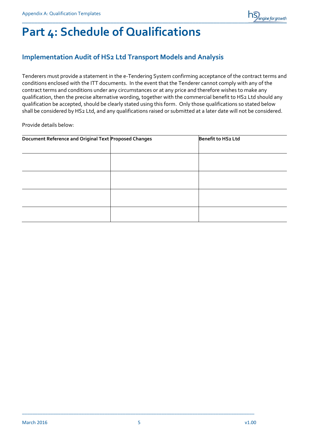

### **Part 4: Schedule of Qualifications**

### **Implementation Audit of HS2 Ltd Transport Models and Analysis**

Tenderers must provide a statement in the e-Tendering System confirming acceptance of the contract terms and conditions enclosed with the ITT documents. In the event that the Tenderer cannot comply with any of the contract terms and conditions under any circumstances or at any price and therefore wishes to make any qualification, then the precise alternative wording, together with the commercial benefit to HS2 Ltd should any qualification be accepted, should be clearly stated using this form. Only those qualifications so stated below shall be considered by HS2 Ltd, and any qualifications raised or submitted at a later date will not be considered.

Provide details below:

| Document Reference and Original Text Proposed Changes | Benefit to HS2 Ltd |
|-------------------------------------------------------|--------------------|
|                                                       |                    |
|                                                       |                    |
|                                                       |                    |
|                                                       |                    |
|                                                       |                    |
|                                                       |                    |
|                                                       |                    |
|                                                       |                    |
|                                                       |                    |